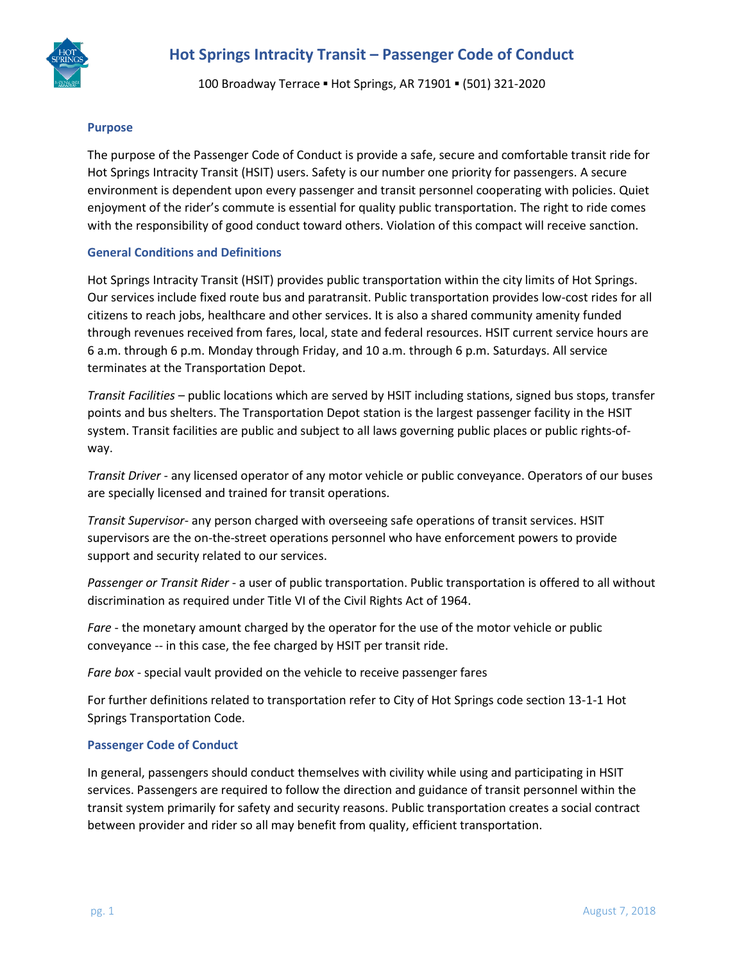

100 Broadway Terrace ▪ Hot Springs, AR 71901 ▪ (501) 321-2020

### **Purpose**

The purpose of the Passenger Code of Conduct is provide a safe, secure and comfortable transit ride for Hot Springs Intracity Transit (HSIT) users. Safety is our number one priority for passengers. A secure environment is dependent upon every passenger and transit personnel cooperating with policies. Quiet enjoyment of the rider's commute is essential for quality public transportation. The right to ride comes with the responsibility of good conduct toward others. Violation of this compact will receive sanction.

### **General Conditions and Definitions**

Hot Springs Intracity Transit (HSIT) provides public transportation within the city limits of Hot Springs. Our services include fixed route bus and paratransit. Public transportation provides low-cost rides for all citizens to reach jobs, healthcare and other services. It is also a shared community amenity funded through revenues received from fares, local, state and federal resources. HSIT current service hours are 6 a.m. through 6 p.m. Monday through Friday, and 10 a.m. through 6 p.m. Saturdays. All service terminates at the Transportation Depot.

*Transit Facilities* – public locations which are served by HSIT including stations, signed bus stops, transfer points and bus shelters. The Transportation Depot station is the largest passenger facility in the HSIT system. Transit facilities are public and subject to all laws governing public places or public rights-ofway.

*Transit Driver* - any licensed operator of any motor vehicle or public conveyance. Operators of our buses are specially licensed and trained for transit operations.

*Transit Supervisor*- any person charged with overseeing safe operations of transit services. HSIT supervisors are the on-the-street operations personnel who have enforcement powers to provide support and security related to our services.

*Passenger or Transit Rider* - a user of public transportation. Public transportation is offered to all without discrimination as required under Title VI of the Civil Rights Act of 1964.

*Fare* - the monetary amount charged by the operator for the use of the motor vehicle or public conveyance -- in this case, the fee charged by HSIT per transit ride.

*Fare box* - special vault provided on the vehicle to receive passenger fares

For further definitions related to transportation refer to City of Hot Springs code section 13-1-1 Hot Springs Transportation Code.

#### **Passenger Code of Conduct**

In general, passengers should conduct themselves with civility while using and participating in HSIT services. Passengers are required to follow the direction and guidance of transit personnel within the transit system primarily for safety and security reasons. Public transportation creates a social contract between provider and rider so all may benefit from quality, efficient transportation.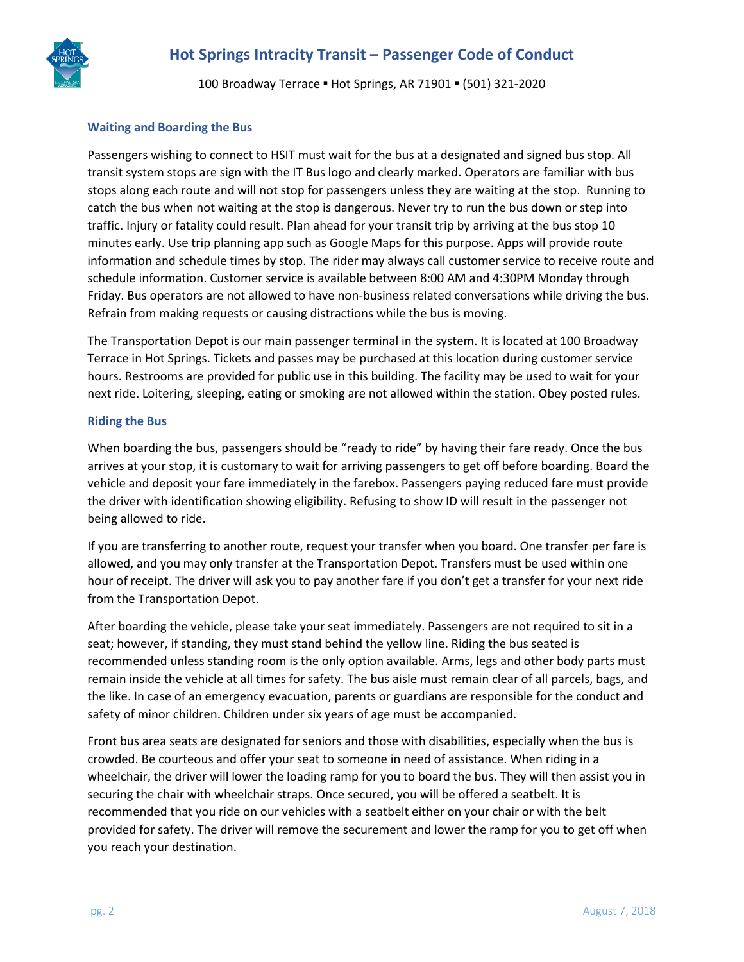

100 Broadway Terrace ▪ Hot Springs, AR 71901 ▪ (501) 321-2020

### **Waiting and Boarding the Bus**

Passengers wishing to connect to HSIT must wait for the bus at a designated and signed bus stop. All transit system stops are sign with the IT Bus logo and clearly marked. Operators are familiar with bus stops along each route and will not stop for passengers unless they are waiting at the stop. Running to catch the bus when not waiting at the stop is dangerous. Never try to run the bus down or step into traffic. Injury or fatality could result. Plan ahead for your transit trip by arriving at the bus stop 10 minutes early. Use trip planning app such as Google Maps for this purpose. Apps will provide route information and schedule times by stop. The rider may always call customer service to receive route and schedule information. Customer service is available between 8:00 AM and 4:30PM Monday through Friday. Bus operators are not allowed to have non-business related conversations while driving the bus. Refrain from making requests or causing distractions while the bus is moving.

The Transportation Depot is our main passenger terminal in the system. It is located at 100 Broadway Terrace in Hot Springs. Tickets and passes may be purchased at this location during customer service hours. Restrooms are provided for public use in this building. The facility may be used to wait for your next ride. Loitering, sleeping, eating or smoking are not allowed within the station. Obey posted rules.

#### **Riding the Bus**

When boarding the bus, passengers should be "ready to ride" by having their fare ready. Once the bus arrives at your stop, it is customary to wait for arriving passengers to get off before boarding. Board the vehicle and deposit your fare immediately in the farebox. Passengers paying reduced fare must provide the driver with identification showing eligibility. Refusing to show ID will result in the passenger not being allowed to ride.

If you are transferring to another route, request your transfer when you board. One transfer per fare is allowed, and you may only transfer at the Transportation Depot. Transfers must be used within one hour of receipt. The driver will ask you to pay another fare if you don't get a transfer for your next ride from the Transportation Depot.

After boarding the vehicle, please take your seat immediately. Passengers are not required to sit in a seat; however, if standing, they must stand behind the yellow line. Riding the bus seated is recommended unless standing room is the only option available. Arms, legs and other body parts must remain inside the vehicle at all times for safety. The bus aisle must remain clear of all parcels, bags, and the like. In case of an emergency evacuation, parents or guardians are responsible for the conduct and safety of minor children. Children under six years of age must be accompanied.

Front bus area seats are designated for seniors and those with disabilities, especially when the bus is crowded. Be courteous and offer your seat to someone in need of assistance. When riding in a wheelchair, the driver will lower the loading ramp for you to board the bus. They will then assist you in securing the chair with wheelchair straps. Once secured, you will be offered a seatbelt. It is recommended that you ride on our vehicles with a seatbelt either on your chair or with the belt provided for safety. The driver will remove the securement and lower the ramp for you to get off when you reach your destination.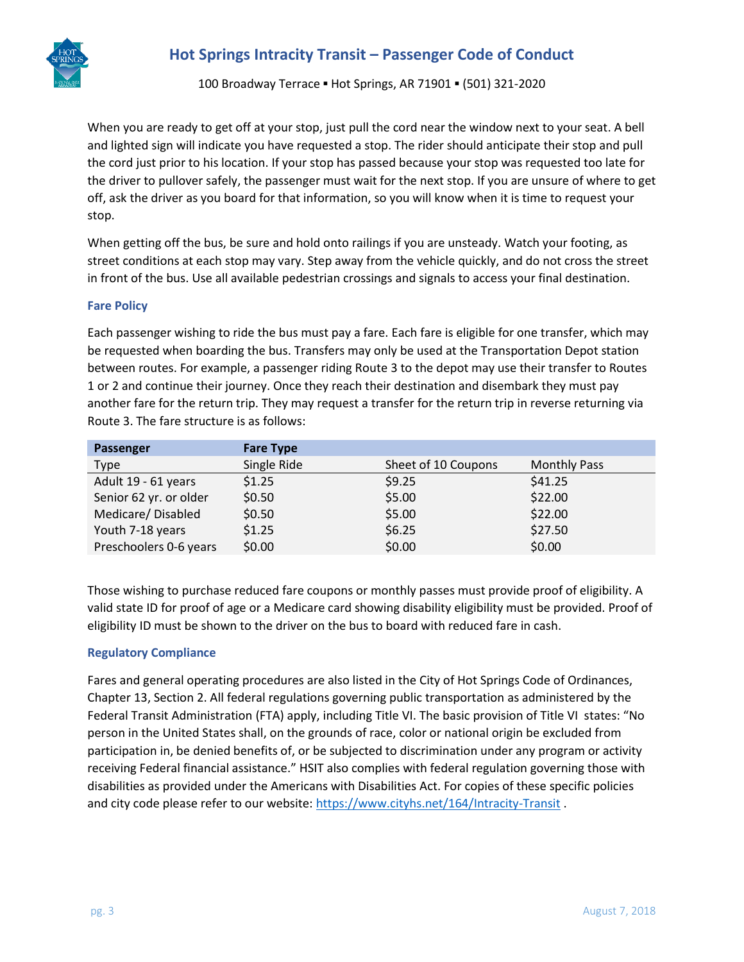

100 Broadway Terrace ▪ Hot Springs, AR 71901 ▪ (501) 321-2020

When you are ready to get off at your stop, just pull the cord near the window next to your seat. A bell and lighted sign will indicate you have requested a stop. The rider should anticipate their stop and pull the cord just prior to his location. If your stop has passed because your stop was requested too late for the driver to pullover safely, the passenger must wait for the next stop. If you are unsure of where to get off, ask the driver as you board for that information, so you will know when it is time to request your stop.

When getting off the bus, be sure and hold onto railings if you are unsteady. Watch your footing, as street conditions at each stop may vary. Step away from the vehicle quickly, and do not cross the street in front of the bus. Use all available pedestrian crossings and signals to access your final destination.

### **Fare Policy**

Each passenger wishing to ride the bus must pay a fare. Each fare is eligible for one transfer, which may be requested when boarding the bus. Transfers may only be used at the Transportation Depot station between routes. For example, a passenger riding Route 3 to the depot may use their transfer to Routes 1 or 2 and continue their journey. Once they reach their destination and disembark they must pay another fare for the return trip. They may request a transfer for the return trip in reverse returning via Route 3. The fare structure is as follows:

| Passenger              | <b>Fare Type</b> |                     |                     |
|------------------------|------------------|---------------------|---------------------|
| Type                   | Single Ride      | Sheet of 10 Coupons | <b>Monthly Pass</b> |
| Adult 19 - 61 years    | \$1.25           | \$9.25              | \$41.25             |
| Senior 62 yr. or older | \$0.50           | \$5.00              | \$22.00             |
| Medicare/Disabled      | \$0.50           | \$5.00              | \$22.00             |
| Youth 7-18 years       | \$1.25           | \$6.25              | \$27.50             |
| Preschoolers 0-6 years | \$0.00           | \$0.00              | \$0.00              |

Those wishing to purchase reduced fare coupons or monthly passes must provide proof of eligibility. A valid state ID for proof of age or a Medicare card showing disability eligibility must be provided. Proof of eligibility ID must be shown to the driver on the bus to board with reduced fare in cash.

## **Regulatory Compliance**

Fares and general operating procedures are also listed in the City of Hot Springs Code of Ordinances, Chapter 13, Section 2. All federal regulations governing public transportation as administered by the Federal Transit Administration (FTA) apply, including Title VI. The basic provision of Title VI states: "No person in the United States shall, on the grounds of race, color or national origin be excluded from participation in, be denied benefits of, or be subjected to discrimination under any program or activity receiving Federal financial assistance." HSIT also complies with federal regulation governing those with disabilities as provided under the Americans with Disabilities Act. For copies of these specific policies and city code please refer to our website:<https://www.cityhs.net/164/Intracity-Transit> .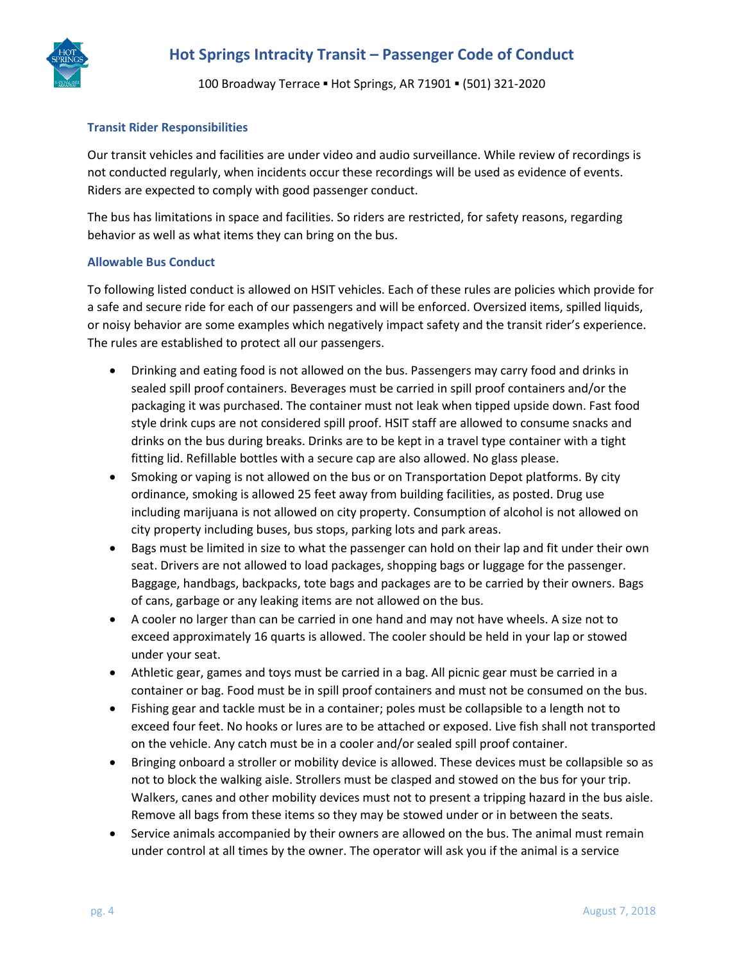100 Broadway Terrace ▪ Hot Springs, AR 71901 ▪ (501) 321-2020

## **Transit Rider Responsibilities**

Our transit vehicles and facilities are under video and audio surveillance. While review of recordings is not conducted regularly, when incidents occur these recordings will be used as evidence of events. Riders are expected to comply with good passenger conduct.

The bus has limitations in space and facilities. So riders are restricted, for safety reasons, regarding behavior as well as what items they can bring on the bus.

## **Allowable Bus Conduct**

To following listed conduct is allowed on HSIT vehicles. Each of these rules are policies which provide for a safe and secure ride for each of our passengers and will be enforced. Oversized items, spilled liquids, or noisy behavior are some examples which negatively impact safety and the transit rider's experience. The rules are established to protect all our passengers.

- Drinking and eating food is not allowed on the bus. Passengers may carry food and drinks in sealed spill proof containers. Beverages must be carried in spill proof containers and/or the packaging it was purchased. The container must not leak when tipped upside down. Fast food style drink cups are not considered spill proof. HSIT staff are allowed to consume snacks and drinks on the bus during breaks. Drinks are to be kept in a travel type container with a tight fitting lid. Refillable bottles with a secure cap are also allowed. No glass please.
- Smoking or vaping is not allowed on the bus or on Transportation Depot platforms. By city ordinance, smoking is allowed 25 feet away from building facilities, as posted. Drug use including marijuana is not allowed on city property. Consumption of alcohol is not allowed on city property including buses, bus stops, parking lots and park areas.
- Bags must be limited in size to what the passenger can hold on their lap and fit under their own seat. Drivers are not allowed to load packages, shopping bags or luggage for the passenger. Baggage, handbags, backpacks, tote bags and packages are to be carried by their owners. Bags of cans, garbage or any leaking items are not allowed on the bus.
- A cooler no larger than can be carried in one hand and may not have wheels. A size not to exceed approximately 16 quarts is allowed. The cooler should be held in your lap or stowed under your seat.
- Athletic gear, games and toys must be carried in a bag. All picnic gear must be carried in a container or bag. Food must be in spill proof containers and must not be consumed on the bus.
- Fishing gear and tackle must be in a container; poles must be collapsible to a length not to exceed four feet. No hooks or lures are to be attached or exposed. Live fish shall not transported on the vehicle. Any catch must be in a cooler and/or sealed spill proof container.
- Bringing onboard a stroller or mobility device is allowed. These devices must be collapsible so as not to block the walking aisle. Strollers must be clasped and stowed on the bus for your trip. Walkers, canes and other mobility devices must not to present a tripping hazard in the bus aisle. Remove all bags from these items so they may be stowed under or in between the seats.
- Service animals accompanied by their owners are allowed on the bus. The animal must remain under control at all times by the owner. The operator will ask you if the animal is a service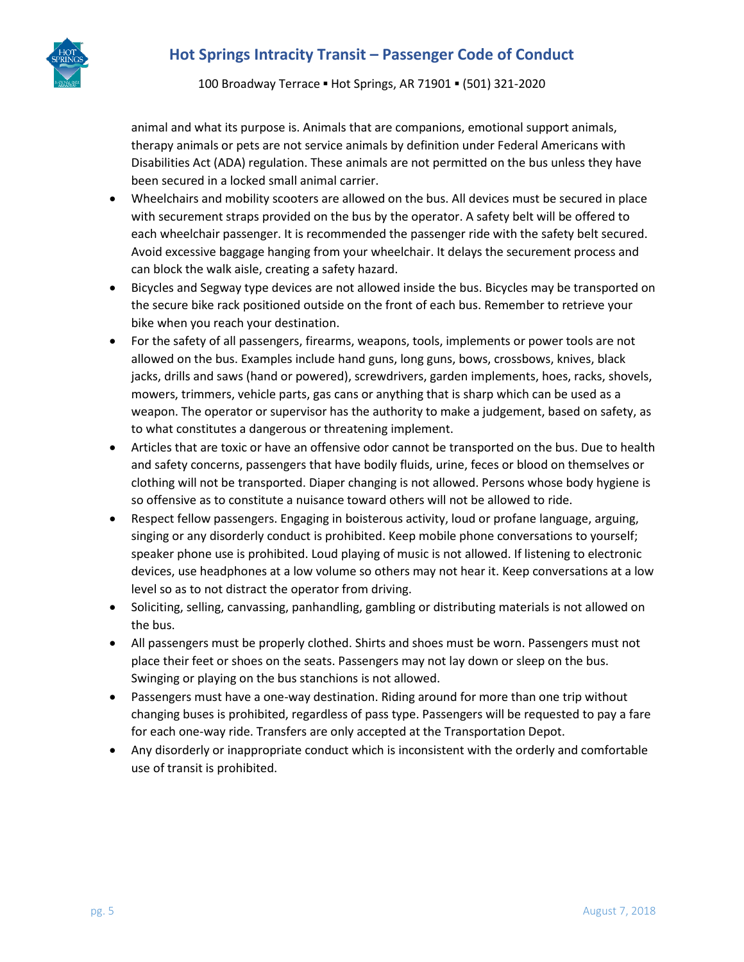

100 Broadway Terrace ▪ Hot Springs, AR 71901 ▪ (501) 321-2020

animal and what its purpose is. Animals that are companions, emotional support animals, therapy animals or pets are not service animals by definition under Federal Americans with Disabilities Act (ADA) regulation. These animals are not permitted on the bus unless they have been secured in a locked small animal carrier.

- Wheelchairs and mobility scooters are allowed on the bus. All devices must be secured in place with securement straps provided on the bus by the operator. A safety belt will be offered to each wheelchair passenger. It is recommended the passenger ride with the safety belt secured. Avoid excessive baggage hanging from your wheelchair. It delays the securement process and can block the walk aisle, creating a safety hazard.
- Bicycles and Segway type devices are not allowed inside the bus. Bicycles may be transported on the secure bike rack positioned outside on the front of each bus. Remember to retrieve your bike when you reach your destination.
- For the safety of all passengers, firearms, weapons, tools, implements or power tools are not allowed on the bus. Examples include hand guns, long guns, bows, crossbows, knives, black jacks, drills and saws (hand or powered), screwdrivers, garden implements, hoes, racks, shovels, mowers, trimmers, vehicle parts, gas cans or anything that is sharp which can be used as a weapon. The operator or supervisor has the authority to make a judgement, based on safety, as to what constitutes a dangerous or threatening implement.
- Articles that are toxic or have an offensive odor cannot be transported on the bus. Due to health and safety concerns, passengers that have bodily fluids, urine, feces or blood on themselves or clothing will not be transported. Diaper changing is not allowed. Persons whose body hygiene is so offensive as to constitute a nuisance toward others will not be allowed to ride.
- Respect fellow passengers. Engaging in boisterous activity, loud or profane language, arguing, singing or any disorderly conduct is prohibited. Keep mobile phone conversations to yourself; speaker phone use is prohibited. Loud playing of music is not allowed. If listening to electronic devices, use headphones at a low volume so others may not hear it. Keep conversations at a low level so as to not distract the operator from driving.
- Soliciting, selling, canvassing, panhandling, gambling or distributing materials is not allowed on the bus.
- All passengers must be properly clothed. Shirts and shoes must be worn. Passengers must not place their feet or shoes on the seats. Passengers may not lay down or sleep on the bus. Swinging or playing on the bus stanchions is not allowed.
- Passengers must have a one-way destination. Riding around for more than one trip without changing buses is prohibited, regardless of pass type. Passengers will be requested to pay a fare for each one-way ride. Transfers are only accepted at the Transportation Depot.
- Any disorderly or inappropriate conduct which is inconsistent with the orderly and comfortable use of transit is prohibited.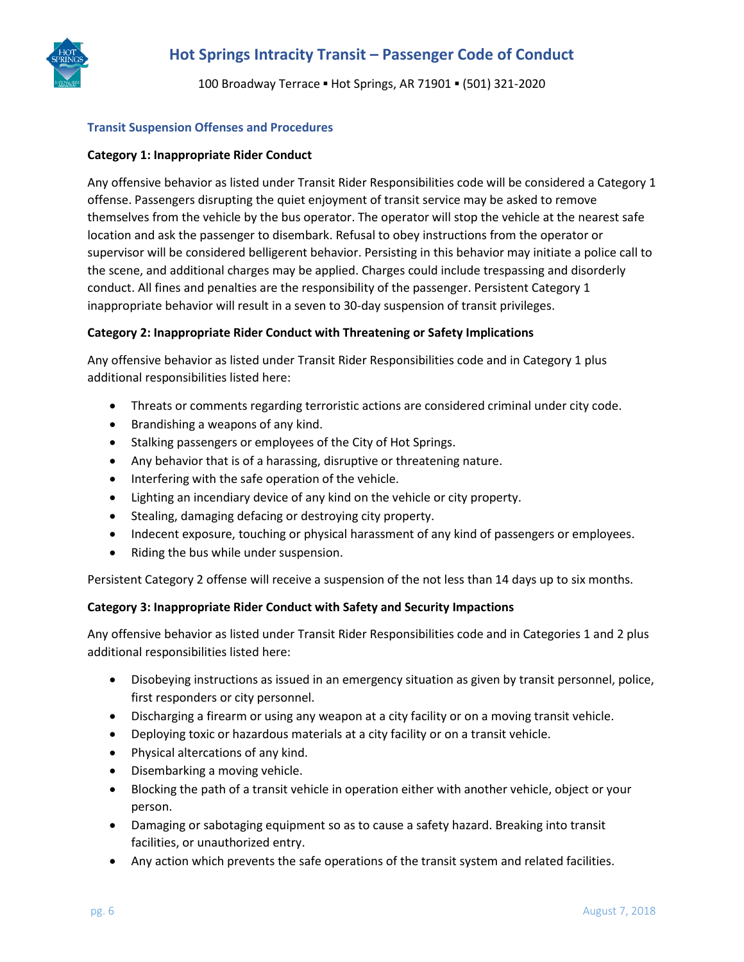

100 Broadway Terrace ▪ Hot Springs, AR 71901 ▪ (501) 321-2020

### **Transit Suspension Offenses and Procedures**

### **Category 1: Inappropriate Rider Conduct**

Any offensive behavior as listed under Transit Rider Responsibilities code will be considered a Category 1 offense. Passengers disrupting the quiet enjoyment of transit service may be asked to remove themselves from the vehicle by the bus operator. The operator will stop the vehicle at the nearest safe location and ask the passenger to disembark. Refusal to obey instructions from the operator or supervisor will be considered belligerent behavior. Persisting in this behavior may initiate a police call to the scene, and additional charges may be applied. Charges could include trespassing and disorderly conduct. All fines and penalties are the responsibility of the passenger. Persistent Category 1 inappropriate behavior will result in a seven to 30-day suspension of transit privileges.

### **Category 2: Inappropriate Rider Conduct with Threatening or Safety Implications**

Any offensive behavior as listed under Transit Rider Responsibilities code and in Category 1 plus additional responsibilities listed here:

- Threats or comments regarding terroristic actions are considered criminal under city code.
- Brandishing a weapons of any kind.
- Stalking passengers or employees of the City of Hot Springs.
- Any behavior that is of a harassing, disruptive or threatening nature.
- Interfering with the safe operation of the vehicle.
- Lighting an incendiary device of any kind on the vehicle or city property.
- Stealing, damaging defacing or destroying city property.
- Indecent exposure, touching or physical harassment of any kind of passengers or employees.
- Riding the bus while under suspension.

Persistent Category 2 offense will receive a suspension of the not less than 14 days up to six months.

### **Category 3: Inappropriate Rider Conduct with Safety and Security Impactions**

Any offensive behavior as listed under Transit Rider Responsibilities code and in Categories 1 and 2 plus additional responsibilities listed here:

- Disobeying instructions as issued in an emergency situation as given by transit personnel, police, first responders or city personnel.
- Discharging a firearm or using any weapon at a city facility or on a moving transit vehicle.
- Deploying toxic or hazardous materials at a city facility or on a transit vehicle.
- Physical altercations of any kind.
- Disembarking a moving vehicle.
- Blocking the path of a transit vehicle in operation either with another vehicle, object or your person.
- Damaging or sabotaging equipment so as to cause a safety hazard. Breaking into transit facilities, or unauthorized entry.
- Any action which prevents the safe operations of the transit system and related facilities.